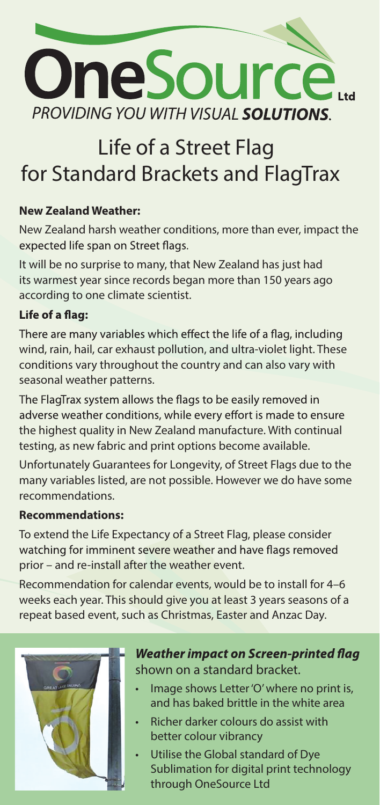

# **Life of a Street Flag for Standard Brackets and FlagTrax**

## **New Zealand Weather:**

New Zealand harsh weather conditions, more than ever, impact the expected life span on Street flags.

It will be no surprise to many, that New Zealand has just had its warmest year since records began more than 150 years ago according to one climate scientist.

## Life of a flag:

There are many variables which effect the life of a flag, including wind, rain, hail, car exhaust pollution, and ultra-violet light. These conditions vary throughout the country and can also vary with seasonal weather patterns.

The FlagTrax system allows the flags to be easily removed in adverse weather conditions, while every effort is made to ensure the highest quality in New Zealand manufacture. With continual testing, as new fabric and print options become available.

Unfortunately Guarantees for Longevity, of Street Flags due to the many variables listed, are not possible. However we do have some recommendations.

#### **Recommendations:**

To extend the Life Expectancy of a Street Flag, please consider watching for imminent severe weather and have flags removed prior – and re-install after the weather event.

Recommendation for calendar events, would be to install for 4–6 weeks each year. This should give you at least 3 years seasons of a repeat based event, such as Christmas, Easter and Anzac Day.



# **Weather impact on Screen-printed flag shown on a standard bracket.**

- Image shows Letter'O' where no print is, and has baked brittle in the white area
- Richer darker colours do assist with better colour vibrancy
- Utilise the Global standard of Dye Sublimation for digital print technology through OneSource Ltd